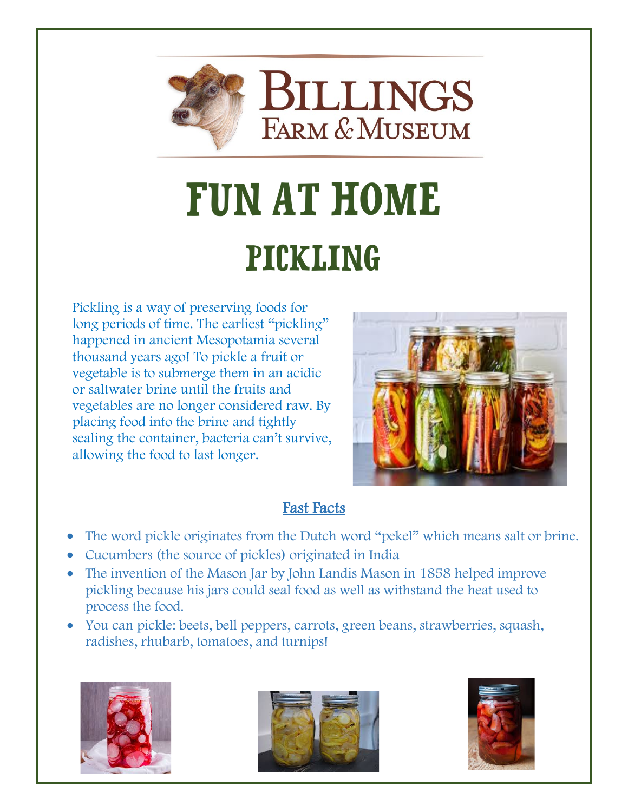

**BILLINGS FARM & MUSEUM** 

# **FUN AT HOME** Pickling

Pickling is a way of preserving foods for long periods of time. The earliest "pickling" happened in ancient Mesopotamia several thousand years ago! To pickle a fruit or vegetable is to submerge them in an acidic or saltwater brine until the fruits and vegetables are no longer considered raw. By placing food into the brine and tightly sealing the container, bacteria can't survive, allowing the food to last longer.



### Fast Facts

- The word pickle originates from the Dutch word "pekel" which means salt or brine.
- Cucumbers (the source of pickles) originated in India
- The invention of the Mason Jar by John Landis Mason in 1858 helped improve pickling because his jars could seal food as well as withstand the heat used to process the food.
- You can pickle: beets, bell peppers, carrots, green beans, strawberries, squash, radishes, rhubarb, tomatoes, and turnips!





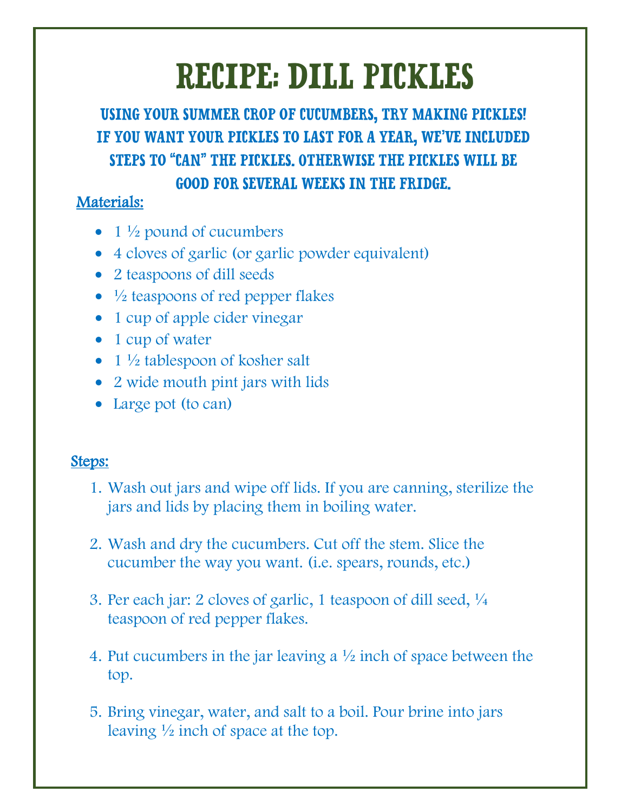# Recipe: Dill Pickles

Using your summer crop of cucumbers, try Making pickles! If you want your pickles to last for a year, we've included steps to "can" the pickles. Otherwise the pickles will be good for several weeks in the fridge.

#### Materials:

- $1\frac{1}{2}$  pound of cucumbers
- 4 cloves of garlic (or garlic powder equivalent)
- 2 teaspoons of dill seeds
- $\bullet$   $\frac{1}{2}$  teaspoons of red pepper flakes
- 1 cup of apple cider vinegar
- 1 cup of water
- $1\frac{1}{2}$  tablespoon of kosher salt
- 2 wide mouth pint jars with lids
- Large pot (to can)

#### Steps:

- 1. Wash out jars and wipe off lids. If you are canning, sterilize the jars and lids by placing them in boiling water.
- 2. Wash and dry the cucumbers. Cut off the stem. Slice the cucumber the way you want. (i.e. spears, rounds, etc.)
- 3. Per each jar: 2 cloves of garlic, 1 teaspoon of dill seed, ¼ teaspoon of red pepper flakes.
- 4. Put cucumbers in the jar leaving a ½ inch of space between the top.
- 5. Bring vinegar, water, and salt to a boil. Pour brine into jars leaving  $\frac{1}{2}$  inch of space at the top.